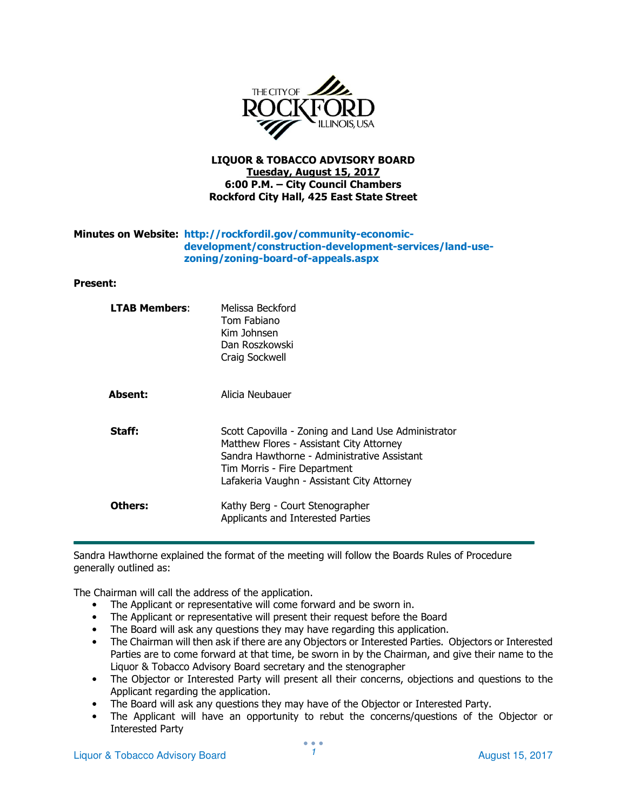

## LIQUOR & TOBACCO ADVISORY BOARD Tuesday, August 15, 2017 6:00 P.M. – City Council Chambers Rockford City Hall, 425 East State Street

## Minutes on Website: http://rockfordil.gov/community-economicdevelopment/construction-development-services/land-usezoning/zoning-board-of-appeals.aspx

### Present:

| <b>LTAB Members:</b> | Melissa Beckford<br>Tom Fabiano<br>Kim Johnsen<br>Dan Roszkowski<br>Craig Sockwell                                                                                                                                           |
|----------------------|------------------------------------------------------------------------------------------------------------------------------------------------------------------------------------------------------------------------------|
| Absent:              | Alicia Neubauer                                                                                                                                                                                                              |
| Staff:               | Scott Capovilla - Zoning and Land Use Administrator<br>Matthew Flores - Assistant City Attorney<br>Sandra Hawthorne - Administrative Assistant<br>Tim Morris - Fire Department<br>Lafakeria Vaughn - Assistant City Attorney |
| Others:              | Kathy Berg - Court Stenographer<br>Applicants and Interested Parties                                                                                                                                                         |

Sandra Hawthorne explained the format of the meeting will follow the Boards Rules of Procedure generally outlined as:

The Chairman will call the address of the application.

- The Applicant or representative will come forward and be sworn in.
- The Applicant or representative will present their request before the Board
- The Board will ask any questions they may have regarding this application.
- The Chairman will then ask if there are any Objectors or Interested Parties. Objectors or Interested Parties are to come forward at that time, be sworn in by the Chairman, and give their name to the Liquor & Tobacco Advisory Board secretary and the stenographer
- The Objector or Interested Party will present all their concerns, objections and questions to the Applicant regarding the application.
- The Board will ask any questions they may have of the Objector or Interested Party.
- The Applicant will have an opportunity to rebut the concerns/questions of the Objector or Interested Party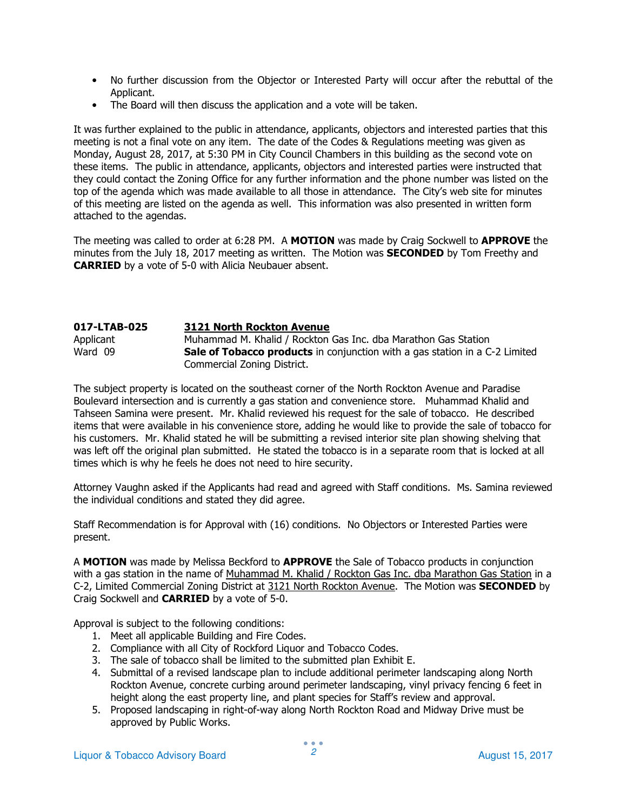- No further discussion from the Objector or Interested Party will occur after the rebuttal of the Applicant.
- The Board will then discuss the application and a vote will be taken.

It was further explained to the public in attendance, applicants, objectors and interested parties that this meeting is not a final vote on any item. The date of the Codes & Regulations meeting was given as Monday, August 28, 2017, at 5:30 PM in City Council Chambers in this building as the second vote on these items. The public in attendance, applicants, objectors and interested parties were instructed that they could contact the Zoning Office for any further information and the phone number was listed on the top of the agenda which was made available to all those in attendance. The City's web site for minutes of this meeting are listed on the agenda as well. This information was also presented in written form attached to the agendas.

The meeting was called to order at 6:28 PM. A MOTION was made by Craig Sockwell to APPROVE the minutes from the July 18, 2017 meeting as written. The Motion was **SECONDED** by Tom Freethy and CARRIED by a vote of 5-0 with Alicia Neubauer absent.

#### 017-LTAB-025 3121 North Rockton Avenue Applicant Muhammad M. Khalid / Rockton Gas Inc. dba Marathon Gas Station Ward  $09$  Sale of Tobacco products in conjunction with a gas station in a C-2 Limited Commercial Zoning District.

The subject property is located on the southeast corner of the North Rockton Avenue and Paradise Boulevard intersection and is currently a gas station and convenience store. Muhammad Khalid and Tahseen Samina were present. Mr. Khalid reviewed his request for the sale of tobacco. He described items that were available in his convenience store, adding he would like to provide the sale of tobacco for his customers. Mr. Khalid stated he will be submitting a revised interior site plan showing shelving that was left off the original plan submitted. He stated the tobacco is in a separate room that is locked at all times which is why he feels he does not need to hire security.

Attorney Vaughn asked if the Applicants had read and agreed with Staff conditions. Ms. Samina reviewed the individual conditions and stated they did agree.

Staff Recommendation is for Approval with (16) conditions. No Objectors or Interested Parties were present.

A **MOTION** was made by Melissa Beckford to **APPROVE** the Sale of Tobacco products in conjunction with a gas station in the name of Muhammad M. Khalid / Rockton Gas Inc. dba Marathon Gas Station in a C-2, Limited Commercial Zoning District at 3121 North Rockton Avenue. The Motion was SECONDED by Craig Sockwell and CARRIED by a vote of 5-0.

Approval is subject to the following conditions:

- 1. Meet all applicable Building and Fire Codes.
- 2. Compliance with all City of Rockford Liquor and Tobacco Codes.
- 3. The sale of tobacco shall be limited to the submitted plan Exhibit E.
- 4. Submittal of a revised landscape plan to include additional perimeter landscaping along North Rockton Avenue, concrete curbing around perimeter landscaping, vinyl privacy fencing 6 feet in height along the east property line, and plant species for Staff's review and approval.
- 5. Proposed landscaping in right-of-way along North Rockton Road and Midway Drive must be approved by Public Works.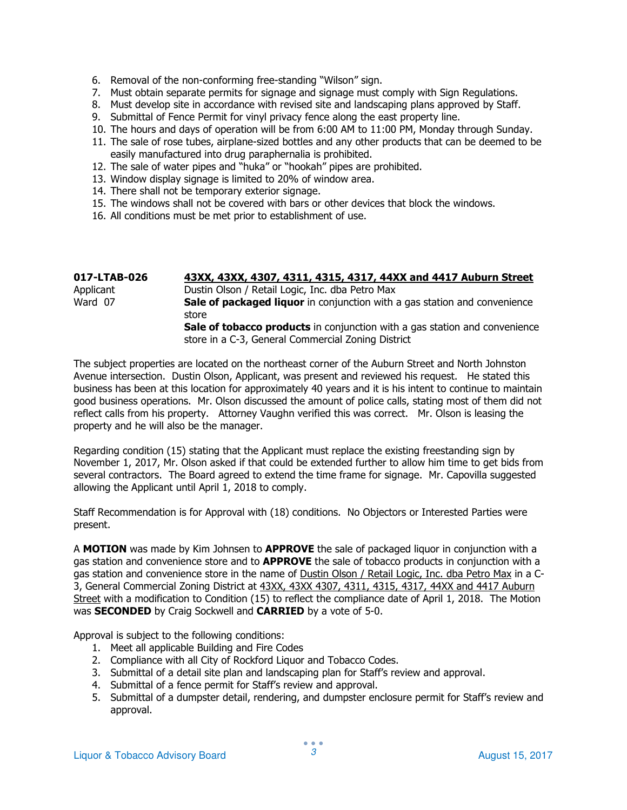- 6. Removal of the non-conforming free-standing "Wilson" sign.
- 7. Must obtain separate permits for signage and signage must comply with Sign Regulations.
- 8. Must develop site in accordance with revised site and landscaping plans approved by Staff.
- 9. Submittal of Fence Permit for vinyl privacy fence along the east property line.
- 10. The hours and days of operation will be from 6:00 AM to 11:00 PM, Monday through Sunday.
- 11. The sale of rose tubes, airplane-sized bottles and any other products that can be deemed to be easily manufactured into drug paraphernalia is prohibited.
- 12. The sale of water pipes and "huka" or "hookah" pipes are prohibited.
- 13. Window display signage is limited to 20% of window area.
- 14. There shall not be temporary exterior signage.
- 15. The windows shall not be covered with bars or other devices that block the windows.
- 16. All conditions must be met prior to establishment of use.

| 017-LTAB-026 | 43XX, 43XX, 4307, 4311, 4315, 4317, 44XX and 4417 Auburn Street                                                                         |
|--------------|-----------------------------------------------------------------------------------------------------------------------------------------|
| Applicant    | Dustin Olson / Retail Logic, Inc. dba Petro Max                                                                                         |
| Ward 07      | Sale of packaged liquor in conjunction with a gas station and convenience<br>store                                                      |
|              | <b>Sale of tobacco products</b> in conjunction with a gas station and convenience<br>store in a C-3, General Commercial Zoning District |

The subject properties are located on the northeast corner of the Auburn Street and North Johnston Avenue intersection. Dustin Olson, Applicant, was present and reviewed his request. He stated this business has been at this location for approximately 40 years and it is his intent to continue to maintain good business operations. Mr. Olson discussed the amount of police calls, stating most of them did not reflect calls from his property. Attorney Vaughn verified this was correct. Mr. Olson is leasing the property and he will also be the manager.

Regarding condition (15) stating that the Applicant must replace the existing freestanding sign by November 1, 2017, Mr. Olson asked if that could be extended further to allow him time to get bids from several contractors. The Board agreed to extend the time frame for signage. Mr. Capovilla suggested allowing the Applicant until April 1, 2018 to comply.

Staff Recommendation is for Approval with (18) conditions. No Objectors or Interested Parties were present.

A MOTION was made by Kim Johnsen to APPROVE the sale of packaged liquor in conjunction with a gas station and convenience store and to **APPROVE** the sale of tobacco products in conjunction with a gas station and convenience store in the name of Dustin Olson / Retail Logic, Inc. dba Petro Max in a C-3, General Commercial Zoning District at 43XX, 43XX 4307, 4311, 4315, 4317, 44XX and 4417 Auburn Street with a modification to Condition (15) to reflect the compliance date of April 1, 2018. The Motion was **SECONDED** by Craig Sockwell and **CARRIED** by a vote of 5-0.

Approval is subject to the following conditions:

- 1. Meet all applicable Building and Fire Codes
- 2. Compliance with all City of Rockford Liquor and Tobacco Codes.
- 3. Submittal of a detail site plan and landscaping plan for Staff's review and approval.
- 4. Submittal of a fence permit for Staff's review and approval.
- 5. Submittal of a dumpster detail, rendering, and dumpster enclosure permit for Staff's review and approval.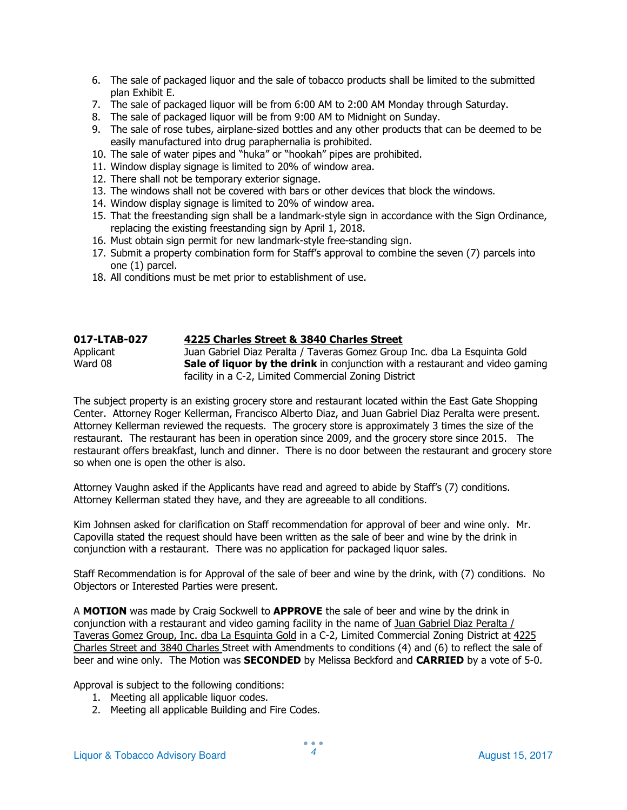- 6. The sale of packaged liquor and the sale of tobacco products shall be limited to the submitted plan Exhibit E.
- 7. The sale of packaged liquor will be from 6:00 AM to 2:00 AM Monday through Saturday.
- 8. The sale of packaged liquor will be from 9:00 AM to Midnight on Sunday.
- 9. The sale of rose tubes, airplane-sized bottles and any other products that can be deemed to be easily manufactured into drug paraphernalia is prohibited.
- 10. The sale of water pipes and "huka" or "hookah" pipes are prohibited.
- 11. Window display signage is limited to 20% of window area.
- 12. There shall not be temporary exterior signage.
- 13. The windows shall not be covered with bars or other devices that block the windows.
- 14. Window display signage is limited to 20% of window area.
- 15. That the freestanding sign shall be a landmark-style sign in accordance with the Sign Ordinance, replacing the existing freestanding sign by April 1, 2018.
- 16. Must obtain sign permit for new landmark-style free-standing sign.
- 17. Submit a property combination form for Staff's approval to combine the seven (7) parcels into one (1) parcel.
- 18. All conditions must be met prior to establishment of use.

# 017-LTAB-027 4225 Charles Street & 3840 Charles Street

Applicant Juan Gabriel Diaz Peralta / Taveras Gomez Group Inc. dba La Esquinta Gold Ward 08  $\blacksquare$  Sale of liquor by the drink in conjunction with a restaurant and video gaming facility in a C-2, Limited Commercial Zoning District

The subject property is an existing grocery store and restaurant located within the East Gate Shopping Center. Attorney Roger Kellerman, Francisco Alberto Diaz, and Juan Gabriel Diaz Peralta were present. Attorney Kellerman reviewed the requests. The grocery store is approximately 3 times the size of the restaurant. The restaurant has been in operation since 2009, and the grocery store since 2015. The restaurant offers breakfast, lunch and dinner. There is no door between the restaurant and grocery store so when one is open the other is also.

Attorney Vaughn asked if the Applicants have read and agreed to abide by Staff's (7) conditions. Attorney Kellerman stated they have, and they are agreeable to all conditions.

Kim Johnsen asked for clarification on Staff recommendation for approval of beer and wine only. Mr. Capovilla stated the request should have been written as the sale of beer and wine by the drink in conjunction with a restaurant. There was no application for packaged liquor sales.

Staff Recommendation is for Approval of the sale of beer and wine by the drink, with (7) conditions. No Objectors or Interested Parties were present.

A MOTION was made by Craig Sockwell to APPROVE the sale of beer and wine by the drink in conjunction with a restaurant and video gaming facility in the name of Juan Gabriel Diaz Peralta / Taveras Gomez Group, Inc. dba La Esquinta Gold in a C-2, Limited Commercial Zoning District at 4225 Charles Street and 3840 Charles Street with Amendments to conditions (4) and (6) to reflect the sale of beer and wine only. The Motion was **SECONDED** by Melissa Beckford and **CARRIED** by a vote of 5-0.

Approval is subject to the following conditions:

- 1. Meeting all applicable liquor codes.
- 2. Meeting all applicable Building and Fire Codes.